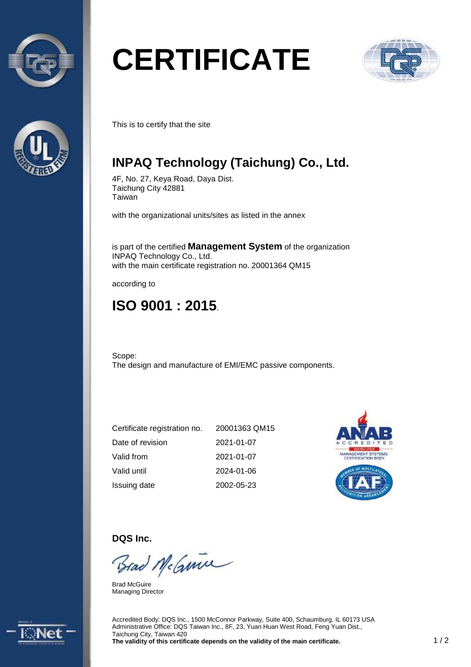



# **CERTIFICATE**



This is to certify that the site

### **INPAQ Technology (Taichung) Co., Ltd.**

4F, No. 27, Keya Road, Daya Dist. Taichung City 42881 Taiwan

with the organizational units/sites as listed in the annex

is part of the certified **Management System** of the organization INPAQ Technology Co., Ltd. with the main certificate registration no. 20001364 QM15

according to

## **ISO 9001 : 2015**.

Scope: The design and manufacture of EMI/EMC passive components.

| Certificate registration no. | 20001363 QM15 |
|------------------------------|---------------|
| Date of revision             | 2021-01-07    |
| Valid from                   | 2021-01-07    |
| Valid until                  | 2024-01-06    |
| Issuing date                 | 2002-05-23    |



**DQS Inc.** 

Brad McGuine

Brad McGuire Managing Director



Accredited Body: DQS Inc., 1500 McConnor Parkway, Suite 400, Schaumburg, IL 60173 USA Administrative Office: DQS Taiwan Inc., 8F, 23, Yuan Huan West Road, Feng Yuan Dist., Taichung City, Taiwan 420 **The validity of this certificate depends on the validity of the main certificate.** 1 / 2